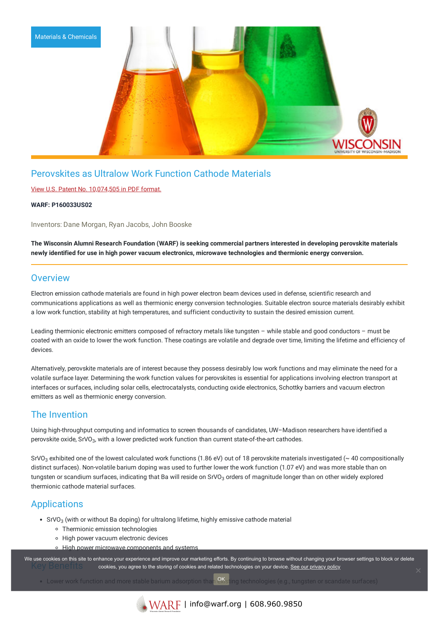

# Perovskites as Ultralow Work Function Cathode Materials

### View U.S. Patent No. [10,074,505](https://www.warf.org/wp-content/uploads/technologies/ipstatus/P160033US02.pdf) in PDF format.

### **WARF: P160033US02**

Inventors: Dane Morgan, Ryan Jacobs, John Booske

The Wisconsin Alumni Research Foundation (WARF) is seeking commercial partners interested in developing perovskite materials **newly identified for use in high power vacuum electronics, microwave technologies and thermionic energy conversion.**

### **Overview**

Electron emission cathode materials are found in high power electron beam devices used in defense, scientific research and communications applications as well as thermionic energy conversion technologies. Suitable electron source materials desirably exhibit a low work function, stability at high temperatures, and sufficient conductivity to sustain the desired emission current.

Leading thermionic electronic emitters composed of refractory metals like tungsten – while stable and good conductors – must be coated with an oxide to lower the work function. These coatings are volatile and degrade over time, limiting the lifetime and efficiency of devices.

Alternatively, perovskite materials are of interest because they possess desirably low work functions and may eliminate the need for a volatile surface layer. Determining the work function values for perovskites is essential for applications involving electron transport at interfaces or surfaces, including solar cells, electrocatalysts, conducting oxide electronics, Schottky barriers and vacuum electron emitters as well as thermionic energy conversion.

## The Invention

Using high-throughput computing and informatics to screen thousands of candidates, UW–Madison researchers have identified a perovskite oxide, SrVO $_3$ , with a lower predicted work function than current state-of-the-art cathodes.

SrVO $_3$  exhibited one of the lowest calculated work functions (1.86 eV) out of 18 perovskite materials investigated (~ 40 compositionally distinct surfaces). Non-volatile barium doping was used to further lower the work function (1.07 eV) and was more stable than on tungsten or scandium surfaces, indicating that Ba will reside on SrVO<sub>3</sub> orders of magnitude longer than on other widely explored thermionic cathode material surfaces.

# **Applications**

- SrVO $_3$  (with or without Ba doping) for ultralong lifetime, highly emissive cathode material
	- Thermionic emission technologies
	- High power vacuum electronic devices
	- o High power microwave components and systems

We use cookies on this site to enhance your experience and improve our marketing efforts. By continuing to browse without changing your browser settings to block or delete cookies, you agree to the storing of cookies and related technologies on your device. [See our privacy policy](https://www.warf.org/privacy-policy/)

Lower work function and more stable barium adsorption than <sup>OK</sup>sting technologies (e.g., tungsten or scandate surfaces)



 $\sqrt[8]{\text{WARP}}$  | info@warf.org | 608.960.9850